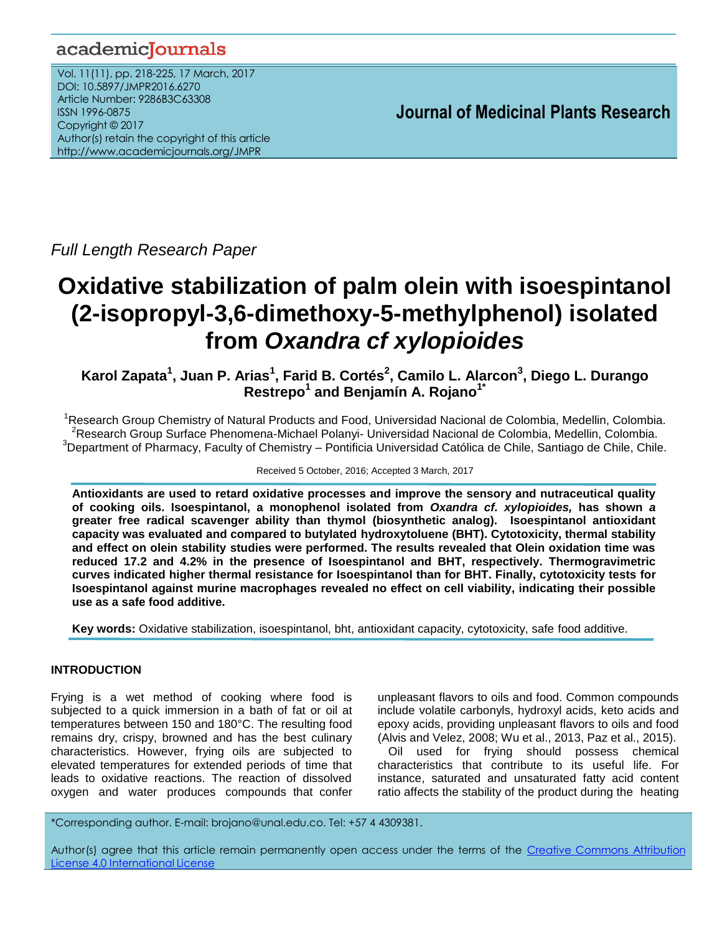# academicJournals

Vol. 11(11), pp. 218-225, 17 March, 2017 DOI: 10.5897/JMPR2016.6270 Article Number: 9286B3C63308 ISSN 1996-0875 Copyright © 2017 Author(s) retain the copyright of this article http://www.academicjournals.org/JMPR

 **Journal of Medicinal Plants Research**

*Full Length Research Paper*

# **Oxidative stabilization of palm olein with isoespintanol (2-isopropyl-3,6-dimethoxy-5-methylphenol) isolated from** *Oxandra cf xylopioides*

**Karol Zapata<sup>1</sup> , Juan P. Arias<sup>1</sup> , Farid B. Cortés<sup>2</sup> , Camilo L. Alarcon<sup>3</sup> , Diego L. Durango Restrepo<sup>1</sup> and Benjamín A. Rojano1\***

<sup>1</sup>Research Group Chemistry of Natural Products and Food, Universidad Nacional de Colombia, Medellin, Colombia. <sup>2</sup>Research Group Surface Phenomena-Michael Polanyi- Universidad Nacional de Colombia, Medellin, Colombia.  $3$ Department of Pharmacy, Faculty of Chemistry – Pontificia Universidad Católica de Chile, Santiago de Chile, Chile.

Received 5 October, 2016; Accepted 3 March, 2017

**Antioxidants are used to retard oxidative processes and improve the sensory and nutraceutical quality of cooking oils. Isoespintanol, a monophenol isolated from** *Oxandra cf. xylopioides,* **has shown** *a* **greater free radical scavenger ability than thymol (biosynthetic analog). Isoespintanol antioxidant capacity was evaluated and compared to butylated hydroxytoluene (BHT). Cytotoxicity, thermal stability and effect on olein stability studies were performed. The results revealed that Olein oxidation time was reduced 17.2 and 4.2% in the presence of Isoespintanol and BHT, respectively. Thermogravimetric curves indicated higher thermal resistance for Isoespintanol than for BHT. Finally, cytotoxicity tests for Isoespintanol against murine macrophages revealed no effect on cell viability, indicating their possible use as a safe food additive.**

**Key words:** Oxidative stabilization, isoespintanol, bht, antioxidant capacity, cytotoxicity, safe food additive.

# **INTRODUCTION**

Frying is a wet method of cooking where food is subjected to a quick immersion in a bath of fat or oil at temperatures between 150 and 180°C. The resulting food remains dry, crispy, browned and has the best culinary characteristics. However, frying oils are subjected to elevated temperatures for extended periods of time that leads to oxidative reactions. The reaction of dissolved oxygen and water produces compounds that confer unpleasant flavors to oils and food. Common compounds include volatile carbonyls, hydroxyl acids, keto acids and epoxy acids, providing unpleasant flavors to oils and food (Alvis and Velez, 2008; Wu et al., 2013, Paz et al., 2015).

Oil used for frying should possess chemical characteristics that contribute to its useful life. For instance, saturated and unsaturated fatty acid content ratio affects the stability of the product during the heating

\*Corresponding author. E-mail: brojano@unal.edu.co. Tel: +57 4 4309381.

Author(s) agree that this article remain permanently open access under the terms of the Creative Commons Attribution License 4.0 [International](http://creativecommons.org/licenses/by/4.0/deed.en_US) License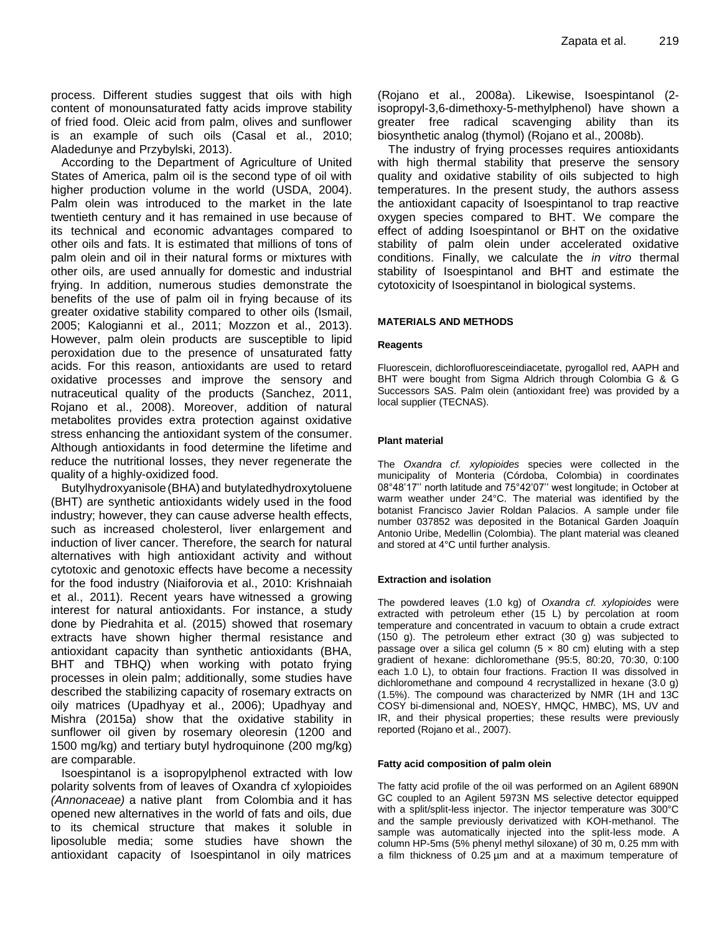process. Different studies suggest that oils with high content of monounsaturated fatty acids improve stability of fried food. Oleic acid from palm, olives and sunflower is an example of such oils (Casal et al., 2010; Aladedunye and Przybylski, 2013).

According to the Department of Agriculture of United States of America, palm oil is the second type of oil with higher production volume in the world (USDA, 2004). Palm olein was introduced to the market in the late twentieth century and it has remained in use because of its technical and economic advantages compared to other oils and fats. It is estimated that millions of tons of palm olein and oil in their natural forms or mixtures with other oils, are used annually for domestic and industrial frying. In addition, numerous studies demonstrate the benefits of the use of palm oil in frying because of its greater oxidative stability compared to other oils (Ismail, 2005; Kalogianni et al., 2011; Mozzon et al., 2013). However, palm olein products are susceptible to lipid peroxidation due to the presence of unsaturated fatty acids. For this reason, antioxidants are used to retard oxidative processes and improve the sensory and nutraceutical quality of the products (Sanchez, 2011, Rojano et al., 2008). Moreover, addition of natural metabolites provides extra protection against oxidative stress enhancing the antioxidant system of the consumer. Although antioxidants in food determine the lifetime and reduce the nutritional losses, they never regenerate the quality of a highly-oxidized food.

Butylhydroxyanisole (BHA) and butylatedhydroxytoluene (BHT) are synthetic antioxidants widely used in the food industry; however, they can cause adverse health effects, such as increased cholesterol, liver enlargement and induction of liver cancer. Therefore, the search for natural alternatives with high antioxidant activity and without cytotoxic and genotoxic effects have become a necessity for the food industry (Niaiforovia et al., 2010: Krishnaiah et al., 2011). Recent years have witnessed a growing interest for natural antioxidants. For instance, a study done by Piedrahita et al. (2015) showed that rosemary extracts have shown higher thermal resistance and antioxidant capacity than synthetic antioxidants (BHA, BHT and TBHQ) when working with potato frying processes in olein palm; additionally, some studies have described the stabilizing capacity of rosemary extracts on oily matrices (Upadhyay et al., 2006); Upadhyay and Mishra (2015a) show that the oxidative stability in sunflower oil given by rosemary oleoresin (1200 and 1500 mg/kg) and tertiary butyl hydroquinone (200 mg/kg) are comparable.

Isoespintanol is a isopropylphenol extracted with low polarity solvents from of leaves of Oxandra cf xylopioides *(Annonaceae)* a native plant from Colombia and it has opened new alternatives in the world of fats and oils, due to its chemical structure that makes it soluble in liposoluble media; some studies have shown the antioxidant capacity of Isoespintanol in oily matrices

(Rojano et al., 2008a). Likewise, Isoespintanol (2 isopropyl-3,6-dimethoxy-5-methylphenol) have shown a greater free radical scavenging ability than its biosynthetic analog (thymol) (Rojano et al., 2008b).

The industry of frying processes requires antioxidants with high thermal stability that preserve the sensory quality and oxidative stability of oils subjected to high temperatures. In the present study, the authors assess the antioxidant capacity of Isoespintanol to trap reactive oxygen species compared to BHT. We compare the effect of adding Isoespintanol or BHT on the oxidative stability of palm olein under accelerated oxidative conditions. Finally, we calculate the *in vitro* thermal stability of Isoespintanol and BHT and estimate the cytotoxicity of Isoespintanol in biological systems.

## **MATERIALS AND METHODS**

#### **Reagents**

Fluorescein, dichlorofluoresceindiacetate, pyrogallol red, AAPH and BHT were bought from Sigma Aldrich through Colombia G & G Successors SAS. Palm olein (antioxidant free) was provided by a local supplier (TECNAS).

#### **Plant material**

The *Oxandra cf. xylopioides* species were collected in the municipality of Monteria (Córdoba, Colombia) in coordinates 08°48'17'' north latitude and 75°42'07'' west longitude; in October at warm weather under 24°C. The material was identified by the botanist Francisco Javier Roldan Palacios. A sample under file number 037852 was deposited in the Botanical Garden Joaquín Antonio Uribe, Medellin (Colombia). The plant material was cleaned and stored at 4°C until further analysis.

#### **Extraction and isolation**

The powdered leaves (1.0 kg) of *Oxandra cf. xylopioides* were extracted with petroleum ether (15 L) by percolation at room temperature and concentrated in vacuum to obtain a crude extract (150 g). The petroleum ether extract (30 g) was subjected to passage over a silica gel column  $(5 \times 80 \text{ cm})$  eluting with a step gradient of hexane: dichloromethane (95:5, 80:20, 70:30, 0:100 each 1.0 L), to obtain four fractions. Fraction II was dissolved in dichloromethane and compound 4 recrystallized in hexane (3.0 g) (1.5%). The compound was characterized by NMR (1H and 13C COSY bi-dimensional and, NOESY, HMQC, HMBC), MS, UV and IR, and their physical properties; these results were previously reported (Rojano et al., 2007).

#### **Fatty acid composition of palm olein**

The fatty acid profile of the oil was performed on an Agilent 6890N GC coupled to an Agilent 5973N MS selective detector equipped with a split/split-less injector. The injector temperature was 300°C and the sample previously derivatized with KOH-methanol. The sample was automatically injected into the split-less mode. A column HP-5ms (5% phenyl methyl siloxane) of 30 m, 0.25 mm with a film thickness of 0.25 µm and at a maximum temperature of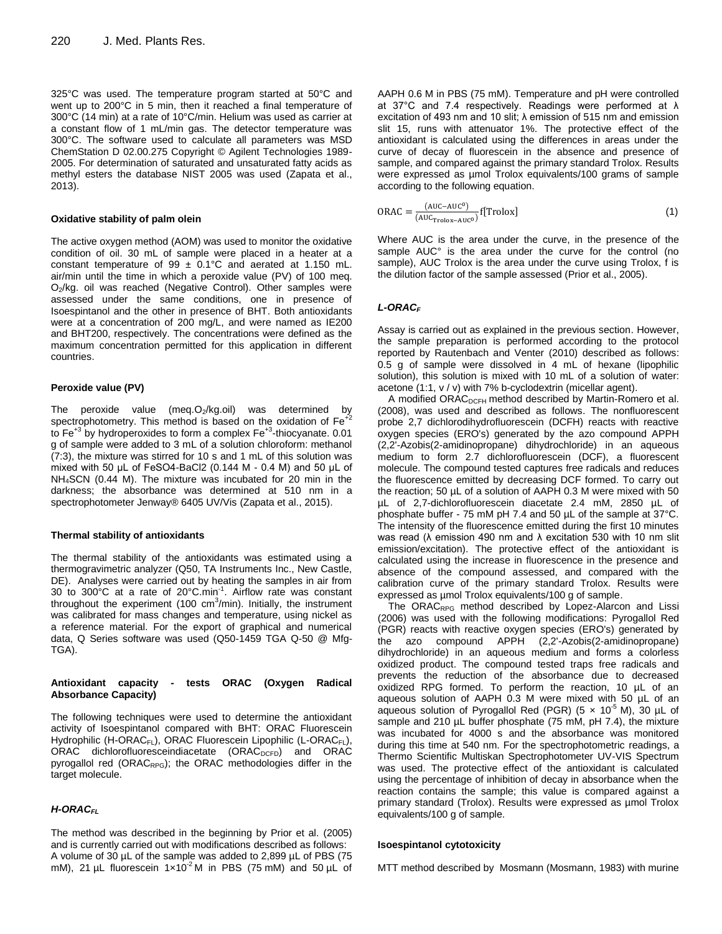325°C was used. The temperature program started at 50°C and went up to 200°C in 5 min, then it reached a final temperature of 300°C (14 min) at a rate of 10°C/min. Helium was used as carrier at a constant flow of 1 mL/min gas. The detector temperature was 300°C. The software used to calculate all parameters was MSD ChemStation D 02.00.275 Copyright © Agilent Technologies 1989- 2005. For determination of saturated and unsaturated fatty acids as methyl esters the database NIST 2005 was used (Zapata et al., 2013).

#### **Oxidative stability of palm olein**

The active oxygen method (AOM) was used to monitor the oxidative condition of oil. 30 mL of sample were placed in a heater at a constant temperature of 99  $\pm$  0.1°C and aerated at 1.150 mL. air/min until the time in which a peroxide value (PV) of 100 meq. O<sub>2</sub>/kg. oil was reached (Negative Control). Other samples were assessed under the same conditions, one in presence of Isoespintanol and the other in presence of BHT. Both antioxidants were at a concentration of 200 mg/L, and were named as IE200 and BHT200, respectively. The concentrations were defined as the maximum concentration permitted for this application in different countries.

#### **Peroxide value (PV)**

The peroxide value (meq. $O_2$ /kg.oil) was determined by spectrophotometry. This method is based on the oxidation of Fe<sup>+2</sup> to Fe<sup>+3</sup> by hydroperoxides to form a complex Fe<sup>+3</sup>-thiocyanate. 0.01 g of sample were added to 3 mL of a solution chloroform: methanol (7:3), the mixture was stirred for 10 s and 1 mL of this solution was mixed with 50 μL of FeSO4-BaCl2 (0.144 M - 0.4 M) and 50 μL of NH4SCN (0.44 M). The mixture was incubated for 20 min in the darkness; the absorbance was determined at 510 nm in a spectrophotometer Jenway® 6405 UV/Vis (Zapata et al., 2015).

#### **Thermal stability of antioxidants**

The thermal stability of the antioxidants was estimated using a thermogravimetric analyzer (Q50, TA Instruments Inc., New Castle, DE). Analyses were carried out by heating the samples in air from 30 to 300°C at a rate of 20°C.min-1 . Airflow rate was constant throughout the experiment (100  $\text{cm}^3\text{/min}$ ). Initially, the instrument was calibrated for mass changes and temperature, using nickel as a reference material. For the export of graphical and numerical data, Q Series software was used (Q50-1459 TGA Q-50 @ Mfg-TGA).

#### **Antioxidant capacity - tests ORAC (Oxygen Radical Absorbance Capacity)**

The following techniques were used to determine the antioxidant activity of Isoespintanol compared with BHT: ORAC Fluorescein Hydrophilic (H-ORAC<sub>FL</sub>), ORAC Fluorescein Lipophilic (L-ORAC<sub>FL</sub>), ORAC dichlorofluoresceindiacetate (ORAC<sub>DCFD</sub>) and ORAC pyrogallol red (ORACRPG); the ORAC methodologies differ in the target molecule.

## *H-ORACFL*

The method was described in the beginning by Prior et al. (2005) and is currently carried out with modifications described as follows: A volume of 30 µL of the sample was added to 2,899 µL of PBS (75 mM), 21  $\mu$ L fluorescein 1×10<sup>-2</sup> M in PBS (75 mM) and 50  $\mu$ L of AAPH 0.6 M in PBS (75 mM). Temperature and pH were controlled at 37°C and 7.4 respectively. Readings were performed at λ excitation of 493 nm and 10 slit; λ emission of 515 nm and emission slit 15, runs with attenuator 1%. The protective effect of the antioxidant is calculated using the differences in areas under the curve of decay of fluorescein in the absence and presence of sample, and compared against the primary standard Trolox. Results were expressed as µmol Trolox equivalents/100 grams of sample according to the following equation.

$$
ORAC = \frac{(AUC - AUC^{0})}{(AUC_{\text{Trolox} - AUC^{0}})} f[Trolox]
$$
\n(1)

Where AUC is the area under the curve, in the presence of the sample AUC° is the area under the curve for the control (no sample), AUC Trolox is the area under the curve using Trolox, f is the dilution factor of the sample assessed (Prior et al., 2005).

#### *L-ORAC<sup>F</sup>*

Assay is carried out as explained in the previous section. However, the sample preparation is performed according to the protocol reported by Rautenbach and Venter (2010) described as follows: 0.5 g of sample were dissolved in 4 mL of hexane (lipophilic solution), this solution is mixed with 10 mL of a solution of water: acetone (1:1, v / v) with 7% b-cyclodextrin (micellar agent).

A modified ORAC<sub>DCFH</sub> method described by Martin-Romero et al. (2008), was used and described as follows. The nonfluorescent probe 2,7 dichlorodihydrofluorescein (DCFH) reacts with reactive oxygen species (ERO's) generated by the azo compound APPH (2,2'-Azobis(2-amidinopropane) dihydrochloride) in an aqueous medium to form 2.7 dichlorofluorescein (DCF), a fluorescent molecule. The compound tested captures free radicals and reduces the fluorescence emitted by decreasing DCF formed. To carry out the reaction; 50 µL of a solution of AAPH 0.3 M were mixed with 50 µL of 2,7-dichlorofluorescein diacetate 2.4 mM, 2850 µL of phosphate buffer - 75 mM pH 7.4 and 50 µL of the sample at 37°C. The intensity of the fluorescence emitted during the first 10 minutes was read (λ emission 490 nm and λ excitation 530 with 10 nm slit emission/excitation). The protective effect of the antioxidant is calculated using the increase in fluorescence in the presence and absence of the compound assessed, and compared with the calibration curve of the primary standard Trolox. Results were expressed as µmol Trolox equivalents/100 g of sample.

The ORA $C_{RPG}$  method described by Lopez-Alarcon and Lissi (2006) was used with the following modifications: Pyrogallol Red (PGR) reacts with reactive oxygen species (ERO's) generated by the azo compound APPH (2,2'-Azobis(2-amidinopropane) dihydrochloride) in an aqueous medium and forms a colorless oxidized product. The compound tested traps free radicals and prevents the reduction of the absorbance due to decreased oxidized RPG formed. To perform the reaction, 10 µL of an aqueous solution of AAPH 0.3 M were mixed with 50 µL of an aqueous solution of Pyrogallol Red (PGR) (5  $\times$  10<sup>-5</sup> M), 30  $\mu$ L of sample and 210 µL buffer phosphate (75 mM, pH 7.4), the mixture was incubated for 4000 s and the absorbance was monitored during this time at 540 nm. For the spectrophotometric readings, a Thermo Scientific Multiskan Spectrophotometer UV-VIS Spectrum was used. The protective effect of the antioxidant is calculated using the percentage of inhibition of decay in absorbance when the reaction contains the sample; this value is compared against a primary standard (Trolox). Results were expressed as µmol Trolox equivalents/100 g of sample.

#### **Isoespintanol cytotoxicity**

MTT method described by Mosmann (Mosmann, 1983) with murine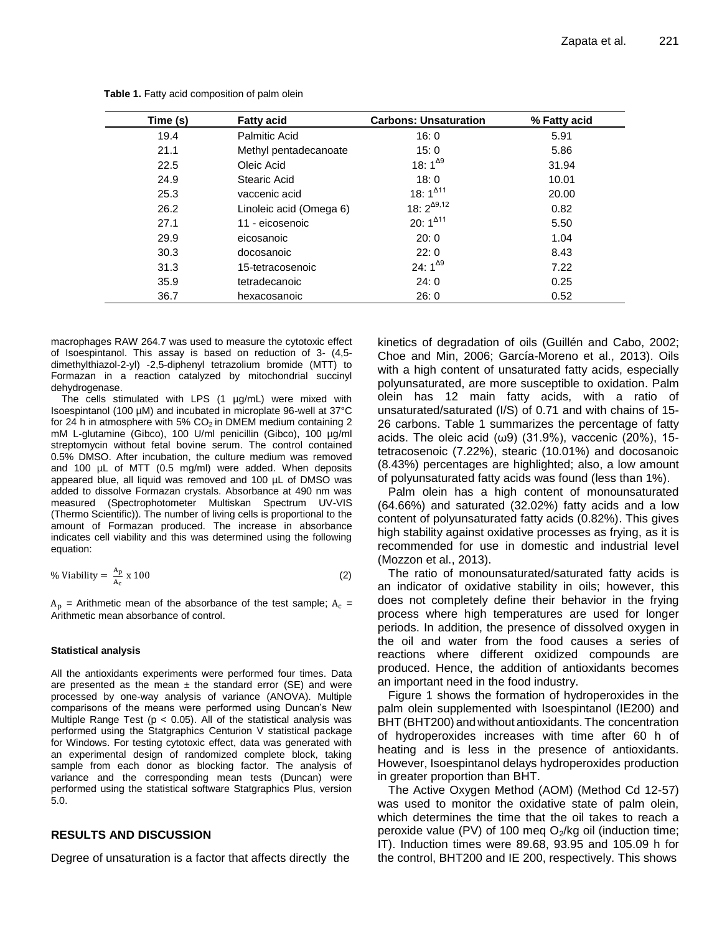| Time (s) | <b>Fatty acid</b>       | <b>Carbons: Unsaturation</b> | % Fatty acid |
|----------|-------------------------|------------------------------|--------------|
| 19.4     | <b>Palmitic Acid</b>    | 16:0                         | 5.91         |
| 21.1     | Methyl pentadecanoate   | 15:0                         | 5.86         |
| 22.5     | Oleic Acid              | 18: $1^{49}$                 | 31.94        |
| 24.9     | Stearic Acid            | 18:0                         | 10.01        |
| 25.3     | vaccenic acid           | 18: $1^{411}$                | 20.00        |
| 26.2     | Linoleic acid (Omega 6) | 18: $2^{\Delta 9,12}$        | 0.82         |
| 27.1     | 11 - eicosenoic         | 20: $1^{\Delta 11}$          | 5.50         |
| 29.9     | eicosanoic              | 20:0                         | 1.04         |
| 30.3     | docosanoic              | 22:0                         | 8.43         |
| 31.3     | 15-tetracosenoic        | 24: $1^{\Delta 9}$           | 7.22         |
| 35.9     | tetradecanoic           | 24:0                         | 0.25         |
| 36.7     | hexacosanoic            | 26:0                         | 0.52         |

**Table 1.** Fatty acid composition of palm olein

macrophages RAW 264.7 was used to measure the cytotoxic effect of Isoespintanol. This assay is based on reduction of 3- (4,5 dimethylthiazol-2-yl) -2,5-diphenyl tetrazolium bromide (MTT) to Formazan in a reaction catalyzed by mitochondrial succinyl dehydrogenase.

The cells stimulated with LPS (1 µg/mL) were mixed with Isoespintanol (100 µM) and incubated in microplate 96-well at 37°C for 24 h in atmosphere with 5%  $CO<sub>2</sub>$  in DMEM medium containing 2 mM L-glutamine (Gibco), 100 U/ml penicillin (Gibco), 100 µg/ml streptomycin without fetal bovine serum. The control contained 0.5% DMSO. After incubation, the culture medium was removed and 100 µL of MTT (0.5 mg/ml) were added. When deposits appeared blue, all liquid was removed and 100 µL of DMSO was added to dissolve Formazan crystals. Absorbance at 490 nm was measured (Spectrophotometer Multiskan Spectrum UV-VIS (Thermo Scientific)). The number of living cells is proportional to the amount of Formazan produced. The increase in absorbance indicates cell viability and this was determined using the following equation:

% Viability = 
$$
\frac{A_p}{A_c} \times 100
$$
 (2)

 $A_n$  = Arithmetic mean of the absorbance of the test sample;  $A_c$  = Arithmetic mean absorbance of control.

#### **Statistical analysis**

All the antioxidants experiments were performed four times. Data are presented as the mean  $\pm$  the standard error (SE) and were processed by one-way analysis of variance (ANOVA). Multiple comparisons of the means were performed using Duncan's New Multiple Range Test ( $p < 0.05$ ). All of the statistical analysis was performed using the Statgraphics Centurion V statistical package for Windows. For testing cytotoxic effect, data was generated with an experimental design of randomized complete block, taking sample from each donor as blocking factor. The analysis of variance and the corresponding mean tests (Duncan) were performed using the statistical software Statgraphics Plus, version 5.0.

# **RESULTS AND DISCUSSION**

Degree of unsaturation is a factor that affects directly the

kinetics of degradation of oils (Guillén and Cabo, 2002; Choe and Min, 2006; García-Moreno et al., 2013). Oils with a high content of unsaturated fatty acids, especially polyunsaturated, are more susceptible to oxidation. Palm olein has 12 main fatty acids, with a ratio of unsaturated/saturated (I/S) of 0.71 and with chains of 15- 26 carbons. Table 1 summarizes the percentage of fatty acids. The oleic acid  $(\omega 9)$  (31.9%), vaccenic (20%), 15tetracosenoic (7.22%), stearic (10.01%) and docosanoic (8.43%) percentages are highlighted; also, a low amount of polyunsaturated fatty acids was found (less than 1%).

Palm olein has a high content of monounsaturated (64.66%) and saturated (32.02%) fatty acids and a low content of polyunsaturated fatty acids (0.82%). This gives high stability against oxidative processes as frying, as it is recommended for use in domestic and industrial level (Mozzon et al., 2013).

The ratio of monounsaturated/saturated fatty acids is an indicator of oxidative stability in oils; however, this does not completely define their behavior in the frying process where high temperatures are used for longer periods. In addition, the presence of dissolved oxygen in the oil and water from the food causes a series of reactions where different oxidized compounds are produced. Hence, the addition of antioxidants becomes an important need in the food industry.

Figure 1 shows the formation of hydroperoxides in the palm olein supplemented with Isoespintanol (IE200) and BHT (BHT200) and without antioxidants. The concentration of hydroperoxides increases with time after 60 h of heating and is less in the presence of antioxidants. However, Isoespintanol delays hydroperoxides production in greater proportion than BHT.

The Active Oxygen Method (AOM) (Method Cd 12-57) was used to monitor the oxidative state of palm olein, which determines the time that the oil takes to reach a peroxide value (PV) of 100 meg  $O_2/kg$  oil (induction time; IT). Induction times were 89.68, 93.95 and 105.09 h for the control, BHT200 and IE 200, respectively. This shows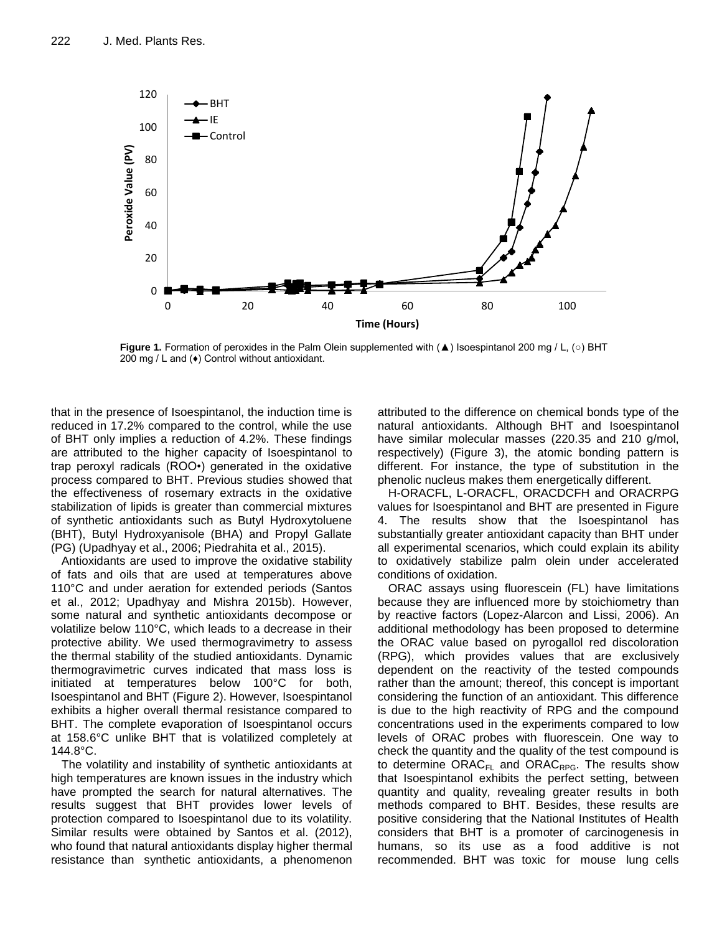

**Figure 1.** Formation of peroxides in the Palm Olein supplemented with (▲) Isoespintanol 200 mg / L, (○) BHT 200 mg / L and (♦) Control without antioxidant.

that in the presence of Isoespintanol, the induction time is reduced in 17.2% compared to the control, while the use of BHT only implies a reduction of 4.2%. These findings are attributed to the higher capacity of Isoespintanol to trap peroxyl radicals (ROO•) generated in the oxidative process compared to BHT. Previous studies showed that the effectiveness of rosemary extracts in the oxidative stabilization of lipids is greater than commercial mixtures of synthetic antioxidants such as Butyl Hydroxytoluene (BHT), Butyl Hydroxyanisole (BHA) and Propyl Gallate (PG) (Upadhyay et al., 2006; Piedrahita et al., 2015).

Antioxidants are used to improve the oxidative stability of fats and oils that are used at temperatures above 110°C and under aeration for extended periods (Santos et al., 2012; Upadhyay and Mishra 2015b). However, some natural and synthetic antioxidants decompose or volatilize below 110°C, which leads to a decrease in their protective ability. We used thermogravimetry to assess the thermal stability of the studied antioxidants. Dynamic thermogravimetric curves indicated that mass loss is initiated at temperatures below 100°C for both, Isoespintanol and BHT (Figure 2). However, Isoespintanol exhibits a higher overall thermal resistance compared to BHT. The complete evaporation of Isoespintanol occurs at 158.6°C unlike BHT that is volatilized completely at 144.8°C.

The volatility and instability of synthetic antioxidants at high temperatures are known issues in the industry which have prompted the search for natural alternatives. The results suggest that BHT provides lower levels of protection compared to Isoespintanol due to its volatility. Similar results were obtained by Santos et al. (2012), who found that natural antioxidants display higher thermal resistance than synthetic antioxidants, a phenomenon attributed to the difference on chemical bonds type of the natural antioxidants. Although BHT and Isoespintanol have similar molecular masses (220.35 and 210 g/mol, respectively) (Figure 3), the atomic bonding pattern is different. For instance, the type of substitution in the phenolic nucleus makes them energetically different.

H-ORACFL, L-ORACFL, ORACDCFH and ORACRPG values for Isoespintanol and BHT are presented in Figure 4. The results show that the Isoespintanol has substantially greater antioxidant capacity than BHT under all experimental scenarios, which could explain its ability to oxidatively stabilize palm olein under accelerated conditions of oxidation.

ORAC assays using fluorescein (FL) have limitations because they are influenced more by stoichiometry than by reactive factors (Lopez-Alarcon and Lissi, 2006). An additional methodology has been proposed to determine the ORAC value based on pyrogallol red discoloration (RPG), which provides values that are exclusively dependent on the reactivity of the tested compounds rather than the amount; thereof, this concept is important considering the function of an antioxidant. This difference is due to the high reactivity of RPG and the compound concentrations used in the experiments compared to low levels of ORAC probes with fluorescein. One way to check the quantity and the quality of the test compound is to determine  $ORAC_{FL}$  and  $ORAC_{RPG}$ . The results show that Isoespintanol exhibits the perfect setting, between quantity and quality, revealing greater results in both methods compared to BHT. Besides, these results are positive considering that the National Institutes of Health considers that BHT is a promoter of carcinogenesis in humans, so its use as a food additive is not recommended. BHT was toxic for mouse lung cells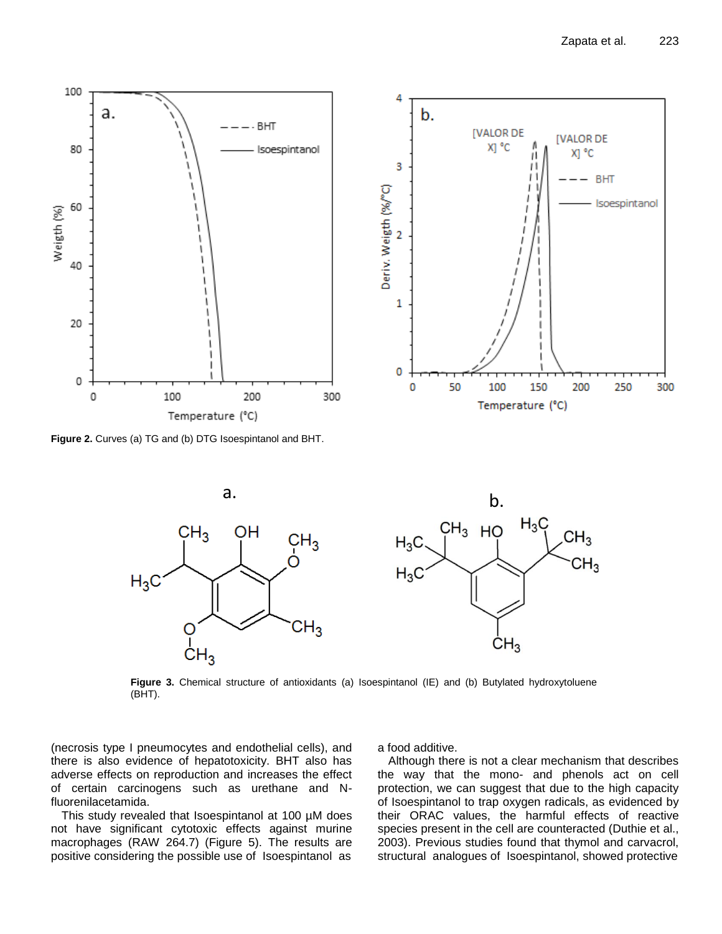

**Figure 2.** Curves (a) TG and (b) DTG Isoespintanol and BHT.



**Figure 3.** Chemical structure of antioxidants (a) Isoespintanol (IE) and (b) Butylated hydroxytoluene (BHT).

(necrosis type I pneumocytes and endothelial cells), and there is also evidence of hepatotoxicity. BHT also has adverse effects on reproduction and increases the effect of certain carcinogens such as urethane and Nfluorenilacetamida.

This study revealed that Isoespintanol at 100 µM does not have significant cytotoxic effects against murine macrophages (RAW 264.7) (Figure 5). The results are positive considering the possible use of Isoespintanol as

a food additive.

Although there is not a clear mechanism that describes the way that the mono- and phenols act on cell protection, we can suggest that due to the high capacity of Isoespintanol to trap oxygen radicals, as evidenced by their ORAC values, the harmful effects of reactive species present in the cell are counteracted (Duthie et al., 2003). Previous studies found that thymol and carvacrol,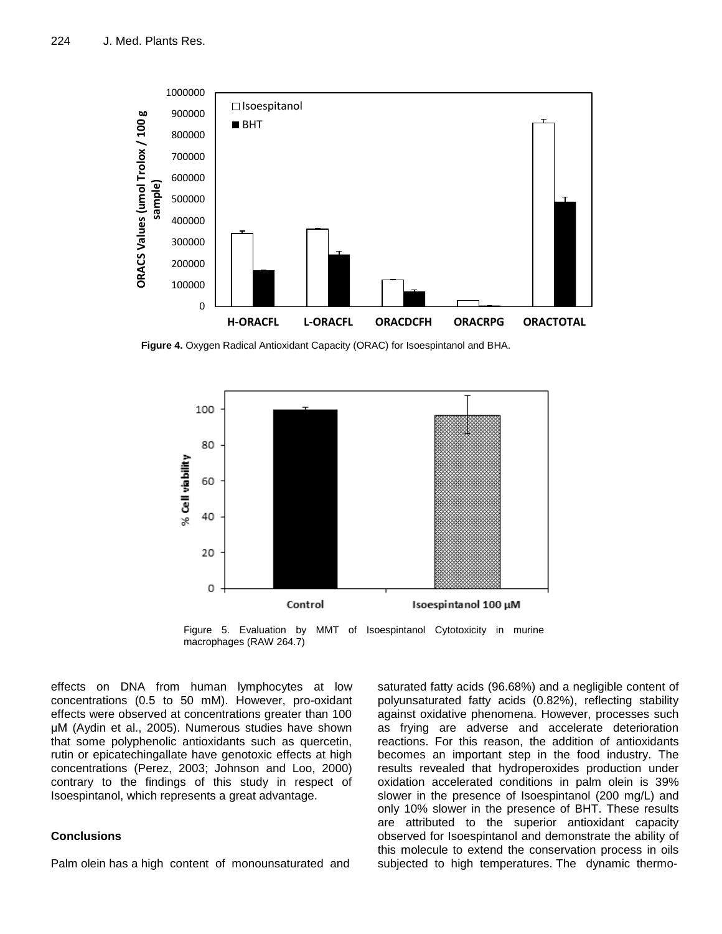

**Figure 4.** Oxygen Radical Antioxidant Capacity (ORAC) for Isoespintanol and BHA.



Figure 5. Evaluation by MMT of Isoespintanol Cytotoxicity in murine macrophages (RAW 264.7)

effects on DNA from human lymphocytes at low concentrations (0.5 to 50 mM). However, pro-oxidant effects were observed at concentrations greater than 100 μM (Aydin et al., 2005). Numerous studies have shown that some polyphenolic antioxidants such as quercetin, rutin or epicatechingallate have genotoxic effects at high concentrations (Perez, 2003; Johnson and Loo, 2000) contrary to the findings of this study in respect of Isoespintanol, which represents a great advantage.

# **Conclusions**

Palm olein has a high content of monounsaturated and

saturated fatty acids (96.68%) and a negligible content of polyunsaturated fatty acids (0.82%), reflecting stability against oxidative phenomena. However, processes such as frying are adverse and accelerate deterioration reactions. For this reason, the addition of antioxidants becomes an important step in the food industry. The results revealed that hydroperoxides production under oxidation accelerated conditions in palm olein is 39% slower in the presence of Isoespintanol (200 mg/L) and only 10% slower in the presence of BHT. These results are attributed to the superior antioxidant capacity observed for Isoespintanol and demonstrate the ability of this molecule to extend the conservation process in oils subjected to high temperatures. The dynamic thermo